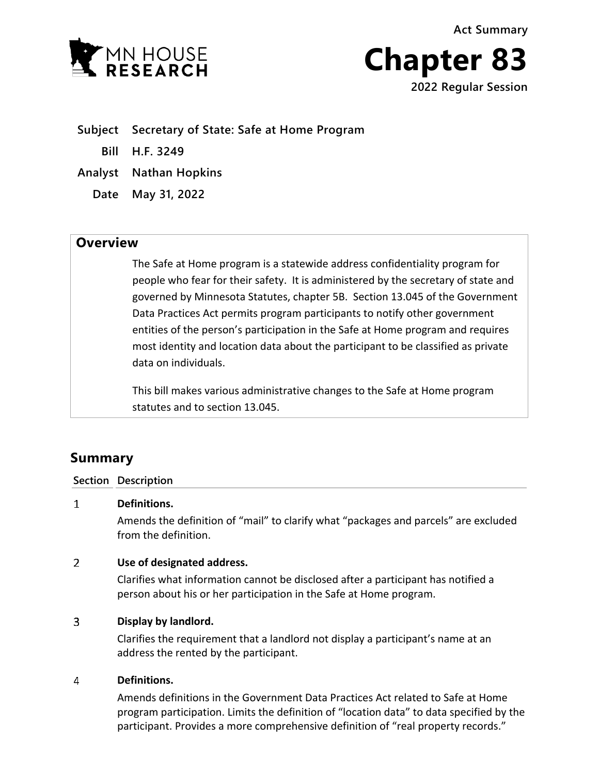**Act Summary**





**Subject Secretary of State: Safe at Home Program**

**Bill H.F. 3249**

**Analyst Nathan Hopkins**

**Date May 31, 2022**

## **Overview**

The Safe at Home program is a statewide address confidentiality program for people who fear for their safety. It is administered by the secretary of state and governed by Minnesota Statutes, chapter 5B. Section 13.045 of the Government Data Practices Act permits program participants to notify other government entities of the person's participation in the Safe at Home program and requires most identity and location data about the participant to be classified as private data on individuals.

This bill makes various administrative changes to the Safe at Home program statutes and to section 13.045.

# **Summary**

### **Section Description**

#### $\mathbf{1}$ **Definitions.**

Amends the definition of "mail" to clarify what "packages and parcels" are excluded from the definition.

#### $\mathcal{P}$ **Use of designated address.**

Clarifies what information cannot be disclosed after a participant has notified a person about his or her participation in the Safe at Home program.

#### $\overline{3}$ **Display by landlord.**

Clarifies the requirement that a landlord not display a participant's name at an address the rented by the participant.

#### 4 **Definitions.**

Amends definitions in the Government Data Practices Act related to Safe at Home program participation. Limits the definition of "location data" to data specified by the participant. Provides a more comprehensive definition of "real property records."